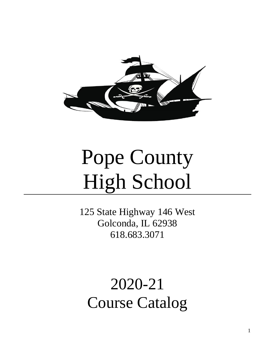

# Pope County High School

125 State Highway 146 West Golconda, IL 62938 618.683.3071

2020-21 Course Catalog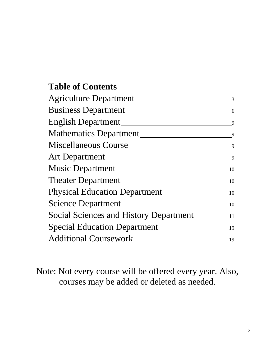### **Table of Contents**

| <b>Agriculture Department</b>                 | 3  |
|-----------------------------------------------|----|
| <b>Business Department</b>                    | 6  |
| <b>English Department</b>                     | 9  |
| <b>Mathematics Department</b>                 | 9  |
| Miscellaneous Course                          | 9  |
| <b>Art Department</b>                         | 9  |
| <b>Music Department</b>                       | 10 |
| <b>Theater Department</b>                     | 10 |
| <b>Physical Education Department</b>          | 10 |
| <b>Science Department</b>                     | 10 |
| <b>Social Sciences and History Department</b> | 11 |
| <b>Special Education Department</b>           | 19 |
| <b>Additional Coursework</b>                  | 19 |
|                                               |    |

Note: Not every course will be offered every year. Also, courses may be added or deleted as needed.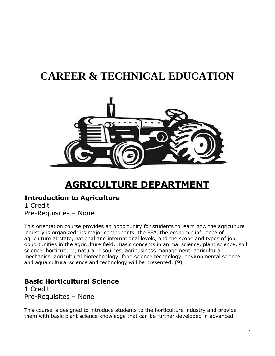# **CAREER & TECHNICAL EDUCATION**



# **AGRICULTURE DEPARTMENT**

#### <span id="page-2-0"></span>**Introduction to Agriculture**

1 Credit Pre-Requisites – None

This orientation course provides an opportunity for students to learn how the agriculture industry is organized: its major components, the FFA, the economic influence of agriculture at state, national and international levels, and the scope and types of job opportunities in the agriculture field. Basic concepts in animal science, plant science, soil science, horticulture, natural resources, agribusiness management, agricultural mechanics, agricultural biotechnology, food science technology, environmental science and aqua cultural science and technology will be presented. (9)

#### **Basic Horticultural Science**

1 Credit Pre-Requisites – None

This course is designed to introduce students to the horticulture industry and provide them with basic plant science knowledge that can be further developed in advanced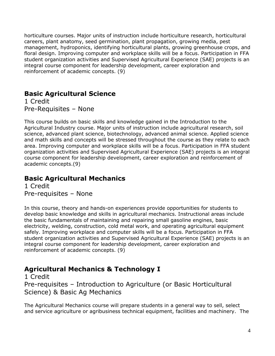horticulture courses. Major units of instruction include horticulture research, horticultural careers, plant anatomy, seed germination, plant propagation, growing media, pest management, hydroponics, identifying horticultural plants, growing greenhouse crops, and floral design. Improving computer and workplace skills will be a focus. Participation in FFA student organization activities and Supervised Agricultural Experience (SAE) projects is an integral course component for leadership development, career exploration and reinforcement of academic concepts. (9)

#### **Basic Agricultural Science**

1 Credit Pre-Requisites – None

This course builds on basic skills and knowledge gained in the Introduction to the Agricultural Industry course. Major units of instruction include agricultural research, soil science, advanced plant science, biotechnology, advanced animal science. Applied science and math skills and concepts will be stressed throughout the course as they relate to each area. Improving computer and workplace skills will be a focus. Participation in FFA student organization activities and Supervised Agricultural Experience (SAE) projects is an integral course component for leadership development, career exploration and reinforcement of academic concepts.(9)

#### **Basic Agricultural Mechanics**

1 Credit Pre-requisites – None

In this course, theory and hands-on experiences provide opportunities for students to develop basic knowledge and skills in agricultural mechanics. Instructional areas include the basic fundamentals of maintaining and repairing small gasoline engines, basic electricity, welding, construction, cold metal work, and operating agricultural equipment safely. Improving workplace and computer skills will be a focus. Participation in FFA student organization activities and Supervised Agricultural Experience (SAE) projects is an integral course component for leadership development, career exploration and reinforcement of academic concepts. (9)

#### **Agricultural Mechanics & Technology I**

1 Credit Pre-requisites – Introduction to Agriculture (or Basic Horticultural Science) & Basic Ag Mechanics

The Agricultural Mechanics course will prepare students in a general way to sell, select and service agriculture or agribusiness technical equipment, facilities and machinery. The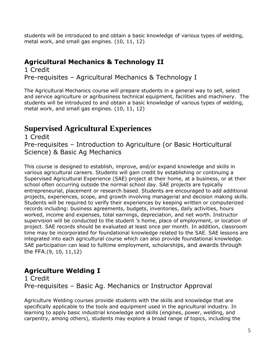students will be introduced to and obtain a basic knowledge of various types of welding, metal work, and small gas engines. (10, 11, 12)

#### **Agricultural Mechanics & Technology II**

1 Credit Pre-requisites – Agricultural Mechanics & Technology I

The Agricultural Mechanics course will prepare students in a general way to sell, select and service agriculture or agribusiness technical equipment, facilities and machinery. The students will be introduced to and obtain a basic knowledge of various types of welding, metal work, and small gas engines. (10, 11, 12)

#### **Supervised Agricultural Experiences**

1 Credit Pre-requisites – Introduction to Agriculture (or Basic Horticultural Science) & Basic Ag Mechanics

This course is designed to establish, improve, and/or expand knowledge and skills in various agricultural careers. Students will gain credit by establishing or continuing a Supervised Agricultural Experience (SAE) project at their home, at a business, or at their school often occurring outside the normal school day. SAE projects are typically entrepreneurial, placement or research based. Students are encouraged to add additional projects, experiences, scope, and growth involving managerial and decision making skills. Students will be required to verify their experiences by keeping written or computerized records including: business agreements, budgets, inventories, daily activities, hours worked, income and expenses, total earnings, depreciation, and net worth. Instructor supervision will be conducted to the student 's home, place of employment, or location of project. SAE records should be evaluated at least once per month. In addition, classroom time may be incorporated for foundational knowledge related to the SAE. SAE lessons are integrated into each agricultural course which can also provide foundational knowledge. SAE participation can lead to fulltime employment, scholarships, and awards through the FFA.(9, 10, 11,12)

#### **Agriculture Welding I**

1 Credit Pre-requisites – Basic Ag. Mechanics or Instructor Approval

Agriculture Welding courses provide students with the skills and knowledge that are specifically applicable to the tools and equipment used in the agricultural industry. In learning to apply basic industrial knowledge and skills (engines, power, welding, and carpentry, among others), students may explore a broad range of topics, including the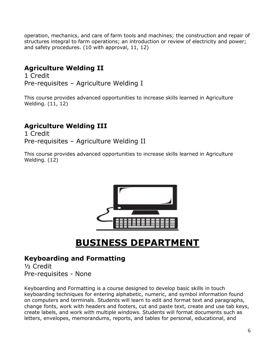operation, mechanics, and care of farm tools and machines; the construction and repair of structures integral to farm operations; an introduction or review of electricity and power; and safety procedures. (10 with approval, 11, 12)

#### **Agriculture Welding II**

1 Credit Pre-requisites – Agriculture Welding I

This course provides advanced opportunities to increase skills learned in Agriculture Welding. (11, 12)

#### **Agriculture Welding III**

1 Credit Pre-requisites – Agriculture Welding II

This course provides advanced opportunities to increase skills learned in Agriculture Welding. (12)



# **BUSINESS DEPARTMENT**

#### <span id="page-5-0"></span>**Keyboarding and Formatting**

½ Credit Pre-requisites - None

Keyboarding and Formatting is a course designed to develop basic skills in touch keyboarding techniques for entering alphabetic, numeric, and symbol information found on computers and terminals. Students will learn to edit and format text and paragraphs, change fonts, work with headers and footers, cut and paste text, create and use tab keys, create labels, and work with multiple windows. Students will format documents such as letters, envelopes, memorandums, reports, and tables for personal, educational, and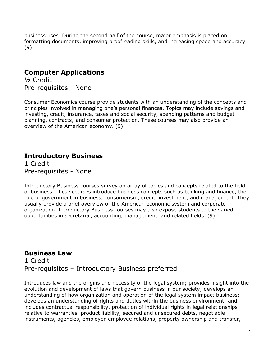business uses. During the second half of the course, major emphasis is placed on formatting documents, improving proofreading skills, and increasing speed and accuracy. (9)

#### **Computer Applications**

½ Credit Pre-requisites - None

Consumer Economics course provide students with an understanding of the concepts and principles involved in managing one's personal finances. Topics may include savings and investing, credit, insurance, taxes and social security, spending patterns and budget planning, contracts, and consumer protection. These courses may also provide an overview of the American economy. (9)

#### **Introductory Business**

1 Credit Pre-requisites - None

Introductory Business courses survey an array of topics and concepts related to the field of business. These courses introduce business concepts such as banking and finance, the role of government in business, consumerism, credit, investment, and management. They usually provide a brief overview of the American economic system and corporate organization. Introductory Business courses may also expose students to the varied opportunities in secretarial, accounting, management, and related fields. (9)

#### **Business Law**

1 Credit Pre-requisites – Introductory Business preferred

Introduces law and the origins and necessity of the legal system; provides insight into the evolution and development of laws that govern business in our society; develops an understanding of how organization and operation of the legal system impact business; develops an understanding of rights and duties within the business environment; and includes contractual responsibility, protection of individual rights in legal relationships relative to warranties, product liability, secured and unsecured debts, negotiable instruments, agencies, employer-employee relations, property ownership and transfer,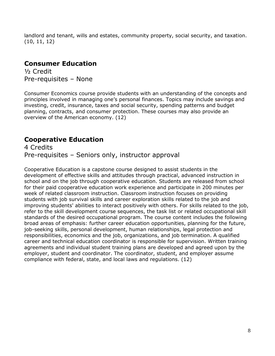landlord and tenant, wills and estates, community property, social security, and taxation. (10, 11, 12)

#### **Consumer Education**

½ Credit Pre-requisites – None

Consumer Economics course provide students with an understanding of the concepts and principles involved in managing one's personal finances. Topics may include savings and investing, credit, insurance, taxes and social security, spending patterns and budget planning, contracts, and consumer protection. These courses may also provide an overview of the American economy. (12)

#### **Cooperative Education**

4 Credits Pre-requisites – Seniors only, instructor approval

Cooperative Education is a capstone course designed to assist students in the development of effective skills and attitudes through practical, advanced instruction in school and on the job through cooperative education. Students are released from school for their paid cooperative education work experience and participate in 200 minutes per week of related classroom instruction. Classroom instruction focuses on providing students with job survival skills and career exploration skills related to the job and improving students' abilities to interact positively with others. For skills related to the job, refer to the skill development course sequences, the task list or related occupational skill standards of the desired occupational program. The course content includes the following broad areas of emphasis: further career education opportunities, planning for the future, job-seeking skills, personal development, human relationships, legal protection and responsibilities, economics and the job, organizations, and job termination. A qualified career and technical education coordinator is responsible for supervision. Written training agreements and individual student training plans are developed and agreed upon by the employer, student and coordinator. The coordinator, student, and employer assume compliance with federal, state, and local laws and regulations. (12)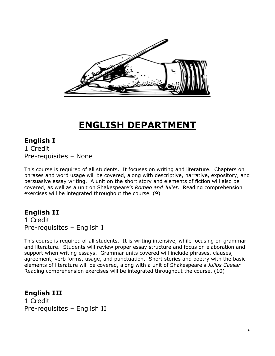<span id="page-8-0"></span>

# **ENGLISH DEPARTMENT**

#### **English I** 1 Credit Pre-requisites – None

This course is required of all students. It focuses on writing and literature. Chapters on phrases and word usage will be covered, along with descriptive, narrative, expository, and persuasive essay writing. A unit on the short story and elements of fiction will also be covered, as well as a unit on Shakespeare's *Romeo and Juliet.* Reading comprehension exercises will be integrated throughout the course. (9)

#### **English II**

1 Credit Pre-requisites – English I

This course is required of all students. It is writing intensive, while focusing on grammar and literature. Students will review proper essay structure and focus on elaboration and support when writing essays. Grammar units covered will include phrases, clauses, agreement, verb forms, usage, and punctuation. Short stories and poetry with the basic elements of literature will be covered, along with a unit of Shakespeare's *Julius Caesar.* Reading comprehension exercises will be integrated throughout the course. (10)

**English III** 1 Credit Pre-requisites – English II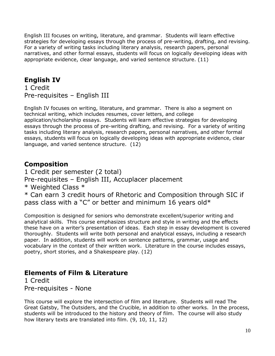English III focuses on writing, literature, and grammar. Students will learn effective strategies for developing essays through the process of pre-writing, drafting, and revising. For a variety of writing tasks including literary analysis, research papers, personal narratives, and other formal essays, students will focus on logically developing ideas with appropriate evidence, clear language, and varied sentence structure. (11)

#### **English IV**

1 Credit Pre-requisites – English III

English IV focuses on writing, literature, and grammar. There is also a segment on technical writing, which includes resumes, cover letters, and college application/scholarship essays. Students will learn effective strategies for developing essays through the process of pre-writing drafting, and revising. For a variety of writing tasks including literary analysis, research papers, personal narratives, and other formal essays, students will focus on logically developing ideas with appropriate evidence, clear language, and varied sentence structure. (12)

#### **Composition**

1 Credit per semester (2 total)

Pre-requisites – English III, Accuplacer placement

\* Weighted Class \*

\* Can earn 3 credit hours of Rhetoric and Composition through SIC if pass class with a "C" or better and minimum 16 years old\*

Composition is designed for seniors who demonstrate excellent/superior writing and analytical skills. This course emphasizes structure and style in writing and the effects these have on a writer's presentation of ideas. Each step in essay development is covered thoroughly. Students will write both personal and analytical essays, including a research paper. In addition, students will work on sentence patterns, grammar, usage and vocabulary in the context of their written work. Literature in the course includes essays, poetry, short stories, and a Shakespeare play. (12)

#### **Elements of Film & Literature**

1 Credit Pre-requisites - None

This course will explore the intersection of film and literature. Students will read The Great Gatsby, The Outsiders, and the Crucible, in addition to other works. In the process, students will be introduced to the history and theory of film. The course will also study how literary texts are translated into film. (9, 10, 11, 12)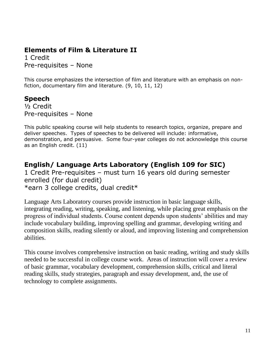#### **Elements of Film & Literature II**

1 Credit Pre-requisites – None

This course emphasizes the intersection of film and literature with an emphasis on nonfiction, documentary film and literature. (9, 10, 11, 12)

#### **Speech**

½ Credit Pre-requisites – None

This public speaking course will help students to research topics, organize, prepare and deliver speeches. Types of speeches to be delivered will include: informative, demonstration, and persuasive. Some four-year colleges do not acknowledge this course as an English credit. (11)

#### **English/ Language Arts Laboratory (English 109 for SIC)**

1 Credit Pre-requisites – must turn 16 years old during semester enrolled (for dual credit) \*earn 3 college credits, dual credit\*

Language Arts Laboratory courses provide instruction in basic language skills, integrating reading, writing, speaking, and listening, while placing great emphasis on the progress of individual students. Course content depends upon students' abilities and may include vocabulary building, improving spelling and grammar, developing writing and composition skills, reading silently or aloud, and improving listening and comprehension abilities.

This course involves comprehensive instruction on basic reading, writing and study skills needed to be successful in college course work. Areas of instruction will cover a review of basic grammar, vocabulary development, comprehension skills, critical and literal reading skills, study strategies, paragraph and essay development, and, the use of technology to complete assignments.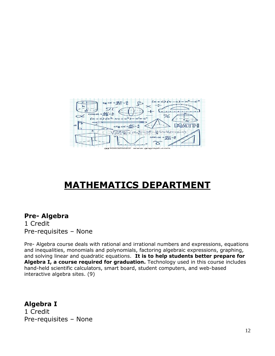

# **MATHEMATICS DEPARTMENT**

#### <span id="page-11-0"></span>**Pre- Algebra**

1 Credit Pre-requisites – None

Pre- Algebra course deals with rational and irrational numbers and expressions, equations and inequalities, monomials and polynomials, factoring algebraic expressions, graphing, and solving linear and quadratic equations. **It is to help students better prepare for Algebra I, a course required for graduation.** Technology used in this course includes hand-held scientific calculators, smart board, student computers, and web-based interactive algebra sites. (9)

#### **Algebra I** 1 Credit Pre-requisites – None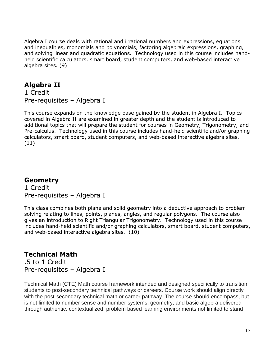Algebra I course deals with rational and irrational numbers and expressions, equations and inequalities, monomials and polynomials, factoring algebraic expressions, graphing, and solving linear and quadratic equations. Technology used in this course includes handheld scientific calculators, smart board, student computers, and web-based interactive algebra sites. (9)

#### **Algebra II**

1 Credit Pre-requisites – Algebra I

This course expands on the knowledge base gained by the student in Algebra I. Topics covered in Algebra II are examined in greater depth and the student is introduced to additional topics that will prepare the student for courses in Geometry, Trigonometry, and Pre-calculus. Technology used in this course includes hand-held scientific and/or graphing calculators, smart board, student computers, and web-based interactive algebra sites. (11)

#### **Geometry**

1 Credit Pre-requisites – Algebra I

This class combines both plane and solid geometry into a deductive approach to problem solving relating to lines, points, planes, angles, and regular polygons. The course also gives an introduction to Right Triangular Trigonometry. Technology used in this course includes hand-held scientific and/or graphing calculators, smart board, student computers, and web-based interactive algebra sites. (10)

#### **Technical Math**

.5 to 1 Credit Pre-requisites – Algebra I

Technical Math (CTE) Math course framework intended and designed specifically to transition students to post-secondary technical pathways or careers. Course work should align directly with the post-secondary technical math or career pathway. The course should encompass, but is not limited to number sense and number systems, geometry, and basic algebra delivered through authentic, contextualized, problem based learning environments not limited to stand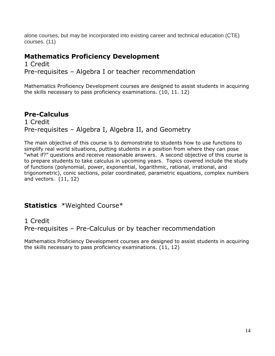alone courses, but may be incorporated into existing career and technical education (CTE) courses. (11)

#### **Mathematics Proficiency Development**

1 Credit Pre-requisites – Algebra I or teacher recommendation

Mathematics Proficiency Development courses are designed to assist students in acquiring the skills necessary to pass proficiency examinations. (10, 11. 12)

#### **Pre-Calculus**

1 Credit Pre-requisites – Algebra I, Algebra II, and Geometry

The main objective of this course is to demonstrate to students how to use functions to simplify real world situations, putting students in a position from where they can pose "what if?" questions and receive reasonable answers. A second objective of this course is to prepare students to take calculus in upcoming years. Topics covered include the study of functions (polynomial, power, exponential, logarithmic, rational, irrational, and trigonometric), conic sections, polar coordinated, parametric equations, complex numbers and vectors. (11, 12)

#### **Statistics** \*Weighted Course\*

#### 1 Credit Pre-requisites – Pre-Calculus or by teacher recommendation

Mathematics Proficiency Development courses are designed to assist students in acquiring the skills necessary to pass proficiency examinations. (11, 12)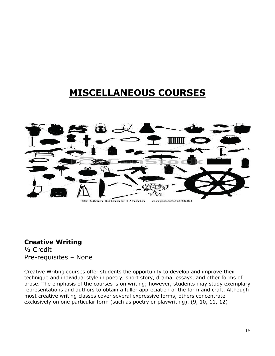# **MISCELLANEOUS COURSES**

<span id="page-14-0"></span>

#### **Creative Writing**

½ Credit Pre-requisites – None

Creative Writing courses offer students the opportunity to develop and improve their technique and individual style in poetry, short story, drama, essays, and other forms of prose. The emphasis of the courses is on writing; however, students may study exemplary representations and authors to obtain a fuller appreciation of the form and craft. Although most creative writing classes cover several expressive forms, others concentrate exclusively on one particular form (such as poetry or playwriting). (9, 10, 11, 12)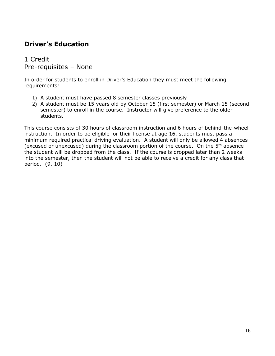#### **Driver's Education**

1 Credit Pre-requisites – None

In order for students to enroll in Driver's Education they must meet the following requirements:

- 1) A student must have passed 8 semester classes previously
- 2) A student must be 15 years old by October 15 (first semester) or March 15 (second semester) to enroll in the course. Instructor will give preference to the older students.

This course consists of 30 hours of classroom instruction and 6 hours of behind-the-wheel instruction. In order to be eligible for their license at age 16, students must pass a minimum required practical driving evaluation. A student will only be allowed 4 absences (excused or unexcused) during the classroom portion of the course. On the  $5<sup>th</sup>$  absence the student will be dropped from the class. If the course is dropped later than 2 weeks into the semester, then the student will not be able to receive a credit for any class that period. (9, 10)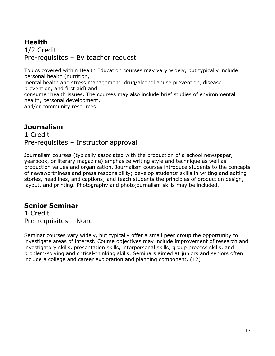#### **Health** 1/2 Credit Pre-requisites – By teacher request

Topics covered within Health Education courses may vary widely, but typically include personal health (nutrition,

mental health and stress management, drug/alcohol abuse prevention, disease prevention, and first aid) and

consumer health issues. The courses may also include brief studies of environmental health, personal development,

and/or community resources

#### **Journalism**

1 Credit Pre-requisites – Instructor approval

Journalism courses (typically associated with the production of a school newspaper, yearbook, or literary magazine) emphasize writing style and technique as well as production values and organization. Journalism courses introduce students to the concepts of newsworthiness and press responsibility; develop students' skills in writing and editing stories, headlines, and captions; and teach students the principles of production design, layout, and printing. Photography and photojournalism skills may be included.

#### **Senior Seminar**

1 Credit Pre-requisites – None

Seminar courses vary widely, but typically offer a small peer group the opportunity to investigate areas of interest. Course objectives may include improvement of research and investigatory skills, presentation skills, interpersonal skills, group process skills, and problem-solving and critical-thinking skills. Seminars aimed at juniors and seniors often include a college and career exploration and planning component. (12)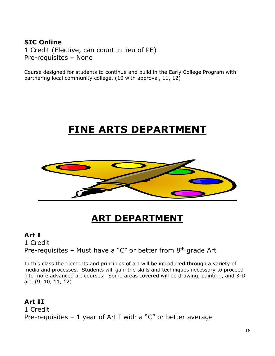#### **SIC Online**

1 Credit (Elective, can count in lieu of PE) Pre-requisites – None

Course designed for students to continue and build in the Early College Program with partnering local community college. (10 with approval, 11, 12)

# **FINE ARTS DEPARTMENT**



# **ART DEPARTMENT**

#### <span id="page-17-0"></span>**Art I**

1 Credit Pre-requisites – Must have a "C" or better from  $8<sup>th</sup>$  grade Art

In this class the elements and principles of art will be introduced through a variety of media and processes. Students will gain the skills and techniques necessary to proceed into more advanced art courses. Some areas covered will be drawing, painting, and 3-D art. (9, 10, 11, 12)

#### **Art II**

1 Credit Pre-requisites  $-1$  year of Art I with a "C" or better average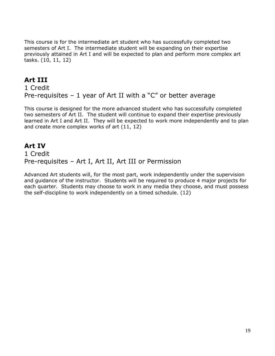This course is for the intermediate art student who has successfully completed two semesters of Art I. The intermediate student will be expanding on their expertise previously attained in Art I and will be expected to plan and perform more complex art tasks. (10, 11, 12)

#### **Art III**

1 Credit Pre-requisites – 1 year of Art II with a "C" or better average

This course is designed for the more advanced student who has successfully completed two semesters of Art II. The student will continue to expand their expertise previously learned in Art I and Art II. They will be expected to work more independently and to plan and create more complex works of art (11, 12)

#### **Art IV** 1 Credit Pre-requisites – Art I, Art II, Art III or Permission

Advanced Art students will, for the most part, work independently under the supervision and guidance of the instructor. Students will be required to produce 4 major projects for each quarter. Students may choose to work in any media they choose, and must possess the self-discipline to work independently on a timed schedule. (12)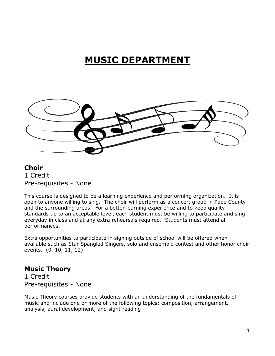# **MUSIC DEPARTMENT**

<span id="page-19-0"></span>

#### **Choir** 1 Credit Pre-requisites - None

This course is designed to be a learning experience and performing organization. It is open to anyone willing to sing. The choir will perform as a concert group in Pope County and the surrounding areas. For a better learning experience and to keep quality standards up to an acceptable level, each student must be willing to participate and sing everyday in class and at any extra rehearsals required. Students must attend all performances.

Extra opportunities to participate in signing outside of school will be offered when available such as Star Spangled Singers, solo and ensemble contest and other honor choir events. (9, 10, 11, 12)

#### **Music Theory**

1 Credit Pre-requisites - None

Music Theory courses provide students with an understanding of the fundamentals of music and include one or more of the following topics: composition, arrangement, analysis, aural development, and sight reading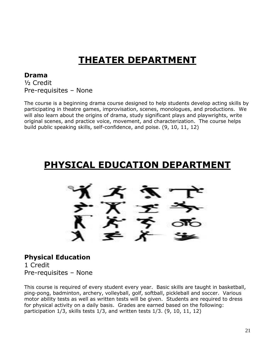# **THEATER DEPARTMENT**

#### <span id="page-20-0"></span>**Drama**

½ Credit Pre-requisites – None

The course is a beginning drama course designed to help students develop acting skills by participating in theatre games, improvisation, scenes, monologues, and productions. We will also learn about the origins of drama, study significant plays and playwrights, write original scenes, and practice voice, movement, and characterization. The course helps build public speaking skills, self-confidence, and poise. (9, 10, 11, 12)

# <span id="page-20-1"></span>**PHYSICAL EDUCATION DEPARTMENT**

#### **Physical Education** 1 Credit

Pre-requisites – None

This course is required of every student every year. Basic skills are taught in basketball, ping-pong, badminton, archery, volleyball, golf, softball, pickleball and soccer. Various motor ability tests as well as written tests will be given. Students are required to dress for physical activity on a daily basis. Grades are earned based on the following: participation 1/3, skills tests 1/3, and written tests 1/3. (9, 10, 11, 12)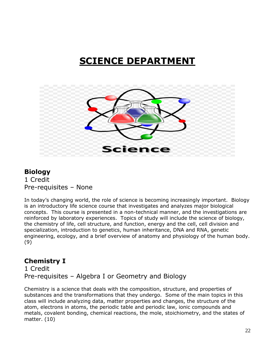# **SCIENCE DEPARTMENT**

<span id="page-21-0"></span>

#### **Biology** 1 Credit Pre-requisites – None

In today's changing world, the role of science is becoming increasingly important. Biology is an introductory life science course that investigates and analyzes major biological concepts. This course is presented in a non-technical manner, and the investigations are reinforced by laboratory experiences. Topics of study will include the science of biology, the chemistry of life, cell structure, and function, energy and the cell, cell division and specialization, introduction to genetics, human inheritance, DNA and RNA, genetic engineering, ecology, and a brief overview of anatomy and physiology of the human body. (9)

#### **Chemistry I**

1 Credit Pre-requisites – Algebra I or Geometry and Biology

Chemistry is a science that deals with the composition, structure, and properties of substances and the transformations that they undergo. Some of the main topics in this class will include analyzing data, matter properties and changes, the structure of the atom, electrons in atoms, the periodic table and periodic law, ionic compounds and metals, covalent bonding, chemical reactions, the mole, stoichiometry, and the states of matter. (10)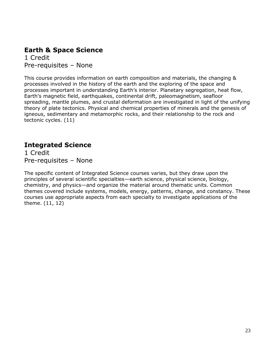#### **Earth & Space Science** 1 Credit

Pre-requisites – None

This course provides information on earth composition and materials, the changing & processes involved in the history of the earth and the exploring of the space and processes important in understanding Earth's interior. Planetary segregation, heat flow, Earth's magnetic field, earthquakes, continental drift, paleomagnetism, seafloor spreading, mantle plumes, and crustal deformation are investigated in light of the unifying theory of plate tectonics. Physical and chemical properties of minerals and the genesis of igneous, sedimentary and metamorphic rocks, and their relationship to the rock and tectonic cycles. (11)

#### **Integrated Science**

1 Credit Pre-requisites – None

The specific content of Integrated Science courses varies, but they draw upon the principles of several scientific specialties—earth science, physical science, biology, chemistry, and physics—and organize the material around thematic units. Common themes covered include systems, models, energy, patterns, change, and constancy. These courses use appropriate aspects from each specialty to investigate applications of the theme. (11, 12)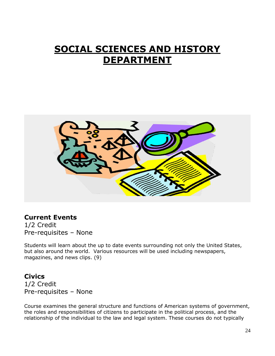# <span id="page-23-0"></span>**SOCIAL SCIENCES AND HISTORY DEPARTMENT**



#### **Current Events**

1/2 Credit Pre-requisites – None

Students will learn about the up to date events surrounding not only the United States, but also around the world. Various resources will be used including newspapers, magazines, and news clips. (9)

#### **Civics**

1/2 Credit Pre-requisites – None

Course examines the general structure and functions of American systems of government, the roles and responsibilities of citizens to participate in the political process, and the relationship of the individual to the law and legal system. These courses do not typically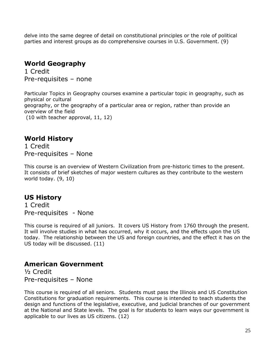delve into the same degree of detail on constitutional principles or the role of political parties and interest groups as do comprehensive courses in U.S. Government. (9)

#### **World Geography**

1 Credit Pre-requisites – none

Particular Topics in Geography courses examine a particular topic in geography, such as physical or cultural geography, or the geography of a particular area or region, rather than provide an overview of the field (10 with teacher approval, 11, 12)

#### **World History**

1 Credit Pre-requisites – None

This course is an overview of Western Civilization from pre-historic times to the present. It consists of brief sketches of major western cultures as they contribute to the western world today. (9, 10)

#### **US History**

1 Credit Pre-requisites - None

This course is required of all juniors. It covers US History from 1760 through the present. It will involve studies in what has occurred, why it occurs, and the effects upon the US today. The relationship between the US and foreign countries, and the effect it has on the US today will be discussed. (11)

#### **American Government**

½ Credit Pre-requisites – None

This course is required of all seniors. Students must pass the Illinois and US Constitution Constitutions for graduation requirements. This course is intended to teach students the design and functions of the legislative, executive, and judicial branches of our government at the National and State levels. The goal is for students to learn ways our government is applicable to our lives as US citizens. (12)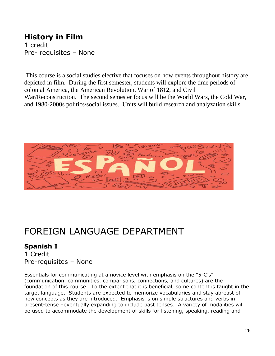#### **History in Film**

1 credit Pre- requisites – None

This course is a social studies elective that focuses on how events throughout history are depicted in film. During the first semester, students will explore the time periods of colonial America, the American Revolution, War of 1812, and Civil War/Reconstruction. The second semester focus will be the World Wars, the Cold War, and 1980-2000s politics/social issues. Units will build research and analyzation skills.



# FOREIGN LANGUAGE DEPARTMENT

#### **Spanish I**

1 Credit Pre-requisites – None

Essentials for communicating at a novice level with emphasis on the "5-C's" (communication, communities, comparisons, connections, and cultures) are the foundation of this course. To the extent that it is beneficial, some content is taught in the target language. Students are expected to memorize vocabularies and stay abreast of new concepts as they are introduced. Emphasis is on simple structures and verbs in present-tense –eventually expanding to include past tenses. A variety of modalities will be used to accommodate the development of skills for listening, speaking, reading and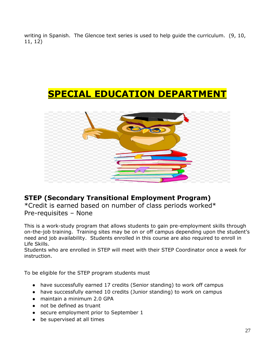writing in Spanish. The Glencoe text series is used to help guide the curriculum. (9, 10, 11, 12)

### **SPECIAL EDUCATION DEPARTMENT**

<span id="page-26-0"></span>

#### **STEP (Secondary Transitional Employment Program)**

\*Credit is earned based on number of class periods worked\* Pre-requisites – None

This is a work-study program that allows students to gain pre-employment skills through on-the-job training. Training sites may be on or off campus depending upon the student's need and job availability. Students enrolled in this course are also required to enroll in Life Skills.

Students who are enrolled in STEP will meet with their STEP Coordinator once a week for instruction.

To be eligible for the STEP program students must

- have successfully earned 17 credits (Senior standing) to work off campus
- have successfully earned 10 credits (Junior standing) to work on campus
- maintain a minimum 2.0 GPA
- not be defined as truant
- secure employment prior to September 1
- be supervised at all times